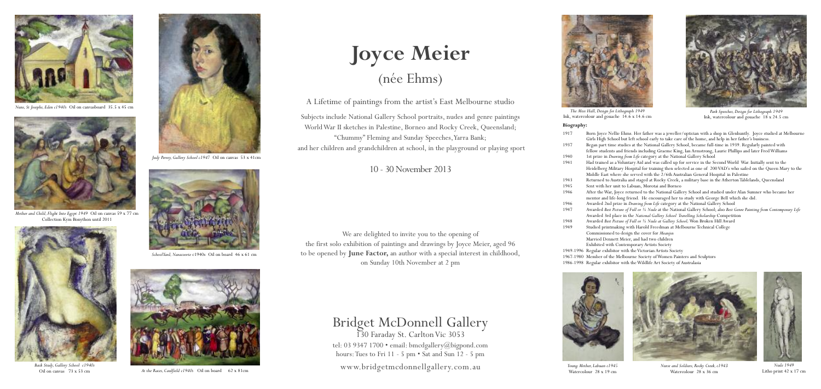## **Joyce Meier** (née Ehms)

A Lifetime of paintings from the artist's East Melbourne studio

Subjects include National Gallery School portraits, nudes and genre paintings WorldWar II sketches in Palestine, Borneo and Rocky Creek, Queensland; "Chummy" Fleming and Sunday Speeches,Yarra Bank; and her children and grandchildren at school, in the playground or playing sport

10 - 30November 2013

We are delighted to invite you to the opening of the first solo exhibition of paintings and drawings by Joyce Meier, aged 96 to be opened by **June Factor,** an author with a special interest in childhood, on Sunday 10th November at 2 pm

Bridget McDonnell Gallery

130 Faraday St. CarltonVic 3053 tel: 03 9347 1700 • email: bmcdgallery@bigpond.com hours:Tues to Fri 11 - 5 pm • Sat and Sun 12 - 5 pm www.bridgetmcdonnellgallery.com.au





*Judy Perrey, Gallery School c1947* Oil on canvas 53 x 41cm



*At the Races, Caulfield c1940s* Oil on board 62 x 81cm



*Nuns, St Josephs, Eden c1940s* Oil on canvasboard 35.5 x 45 cm

**Biography:** 1917 Born Joyce Nellie Ehms. Her father was a jeweller/optician with a shop in Glenhuntly. Joyce studied at Melbourne



*Nurse and Soldiers, Rocky Creek,c1943* Watercolour 28 x 36 cm

*Young Mother, Labuan c1945* Watercolour 28 x 19 cm

Girls High School but left school early to take care of the home, and help in her father's business. 1937 Began part time studies at the National Gallery School, became full-time in 1939. Regularly painted with fellow students and friends including Graeme King, Ian Armstrong, Laurie Phillips and later FredWilliams 1940 1st prize in *Drawing from Life* category at the National Gallery School<br>1941 Had trained as a Voluntary Aid and was called up for service in the Se 1941 Had trained as aVoluntary Aid and was called up for service in the SecondWorld War. Initially sent to the Heidelberg Military Hospital for training then selected as one of 200VAD's who sailed on the Queen Mary to the Middle East where she served with the 2/6th Australian General Hospital in Palestine 1943 Returned to Australia and staged at Rocky Creek, a military base in the AthertonTablelands, Queensland 1945 Sent with her unit to Labuan, Morotai and Borneo<br>1946 After the War, Joyce returned to the National Galle 1946 After theWar, Joyce returned to the National Gallery School and studied under Alan Sumner who became her mentor and life-long friend. He encouraged her to study with George Bell which she did. 1946 Awarded 2nd prize in *Drawing from Life* category at the National Gallery School<br>1947 Awarded *Best Picture of Full or* <sup>3</sup>/<sub>4</sub> Nude at the National Gallery School: also *Best* G 1947 Awarded *Best Picture of Full or ¾ Nude* at the National Gallery School; also *Best Genre Painting from Contemporary Life* Awarded 3rd place in the *National Gallery School Travelling Scholarship* Competition 1948 Awarded *Best Picture of Full or ¾ Nude at Gallery School;*Won Broken Hill Award Studied printmaking with Harold Freedman at Melbourne Technical College Commissioned to design the cover for *Meanjin* Married Dennett Meier, and had two children Exhibited with Contemporary Artists Society 1949-1996 Regular exhibitor with the Victorian Artists Society 1967-1980 Member of the Melbourne Society ofWomen Painters and Sculptors 1986-1998 Regular exhibitor with theWildlife Art Society of Australasia





*SchoolYard,Naracoorte* c1940s Oil on board 46 x 61 cm



*Mother and Child, Flight Into Egypt 1949* Oil on canvas 59 x 77 cm Collection Kym Bonython until 2011



*Back Study, Gallery School c1940s* Oil on canvas 73 x 53 cm



*Nude 1949* Litho print 42 x 17 cm



*The Mess Hall, Design for Lithograph 1949*



Ink, watercolour and gouache 14.6 <sup>x</sup> 14.6 cm *Park Speeches, Design for Lithograph <sup>1949</sup>* Ink, watercolour and gouache 18 x 24.5 cm